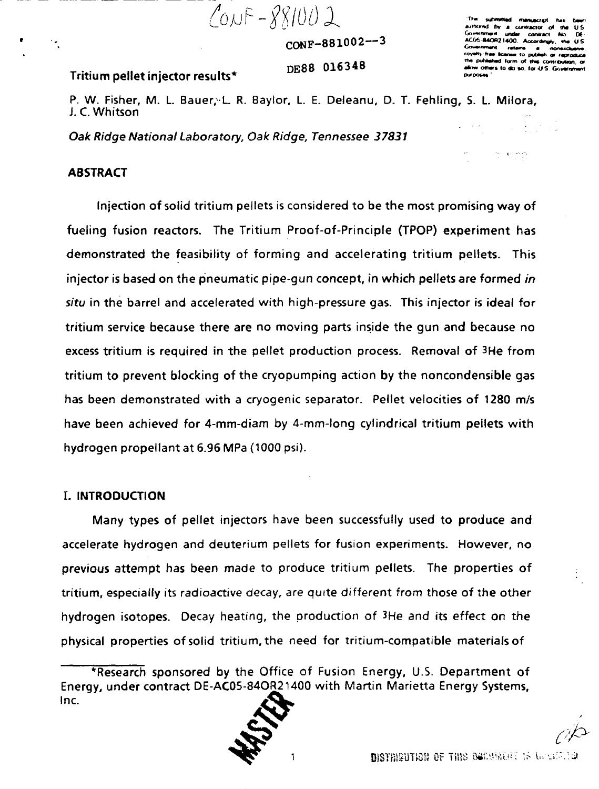$C_{0N}F - 881002$ 

 $CONF-881002--3$ 

st by a contector of ander contri ACOS B40R21400. According 445 **Ry-free ficense to publish or n** d form of this contribution of w others to do so, for U.S. Govern

DE88 016348

Tritium pellet injector results\*

P. W. Fisher, M. L. Bauer, L. R. Baylor, L. E. Deleanu, D. T. Fehling, S. L. Milora, J. C. Whitson

Oak Ridge National Laboratory, Oak Ridge, Tennessee 37831

### **ABSTRACT**

Injection of solid tritium pellets is considered to be the most promising way of fueling fusion reactors. The Tritium Proof-of-Principle (TPOP) experiment has demonstrated the feasibility of forming and accelerating tritium pellets. This injector is based on the pneumatic pipe-qun concept, in which pellets are formed in situ in the barrel and accelerated with high-pressure gas. This injector is ideal for tritium service because there are no moving parts inside the gun and because no excess tritium is required in the pellet production process. Removal of 3He from tritium to prevent blocking of the cryopumping action by the noncondensible gas has been demonstrated with a cryogenic separator. Pellet velocities of 1280 m/s have been achieved for 4-mm-diam by 4-mm-long cylindrical tritium pellets with hydrogen propellant at 6.96 MPa (1000 psi).

### **I. INTRODUCTION**

Many types of pellet injectors have been successfully used to produce and accelerate hydrogen and deuterium pellets for fusion experiments. However, no previous attempt has been made to produce tritium pellets. The properties of tritium, especially its radioactive decay, are quite different from those of the other hydrogen isotopes. Decay heating, the production of 3He and its effect on the physical properties of solid tritium, the need for tritium-compatible materials of

<sup>\*</sup>Research sponsored by the Office of Fusion Energy, U.S. Department of Energy, under contract DE-AC05-84OR21400 with Martin Marietta Energy Systems, Inc.

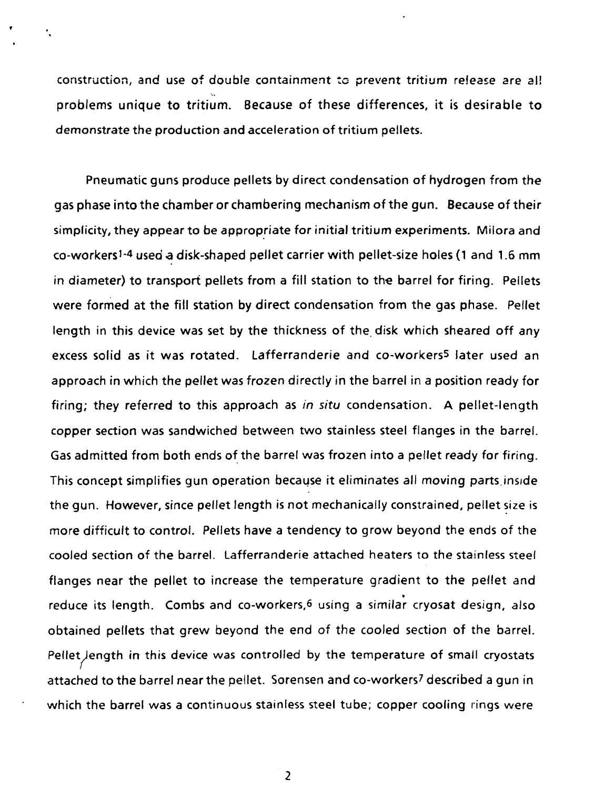construction, and use of double containment to prevent tritium release are al! problems unique to tritium. Because of these differences, it is desirable to demonstrate the production and acceleration of tritium pellets.

ŕ,

Pneumatic guns produce pellets by direct condensation of hydrogen from the gas phase into the chamber or chambering mechanism of the gun. Because of their simplicity, they appear to be appropriate for initial tritium experiments. Milora and co-workers<sup>1-4</sup> used a disk-shaped pellet carrier with pellet-size holes (1 and 1.6 mm in diameter) to transport pellets from a fill station to the barrel for firing. Pellets were formed at the fill station by direct condensation from the gas phase. Pellet length in this device was set by the thickness of the disk which sheared off any excess solid as it was rotated. Lafferranderie and co-workers5 later used an approach in which the pellet was frozen directly in the barrel in a position ready for firing; they referred to this approach as in situ condensation. A pellet-length copper section was sandwiched between two stainless steel flanges in the barrel. Gas admitted from both ends of the barrel was frozen into a pellet ready for firing. This concept simplifies gun operation because it eliminates all moving parts.inside the gun. However, since pellet length is not mechanically constrained, pellet size is more difficult to control. Pellets have a tendency to grow beyond the ends of the cooled section of the barrel. Lafferranderie attached heaters to the stainless steel flanges near the pellet to increase the temperature gradient to the pellet and reduce its length. Combs and co-workers,6 using a similar cryosat design, also obtained pellets that grew beyond the end of the cooled section of the barrel. Pellet length in this device was controlled by the temperature of small cryostats attached to the barrel near the pellet. Sorensen and co-workers? described a gun in which the barrel was a continuous stainless steel tube; copper cooling rings were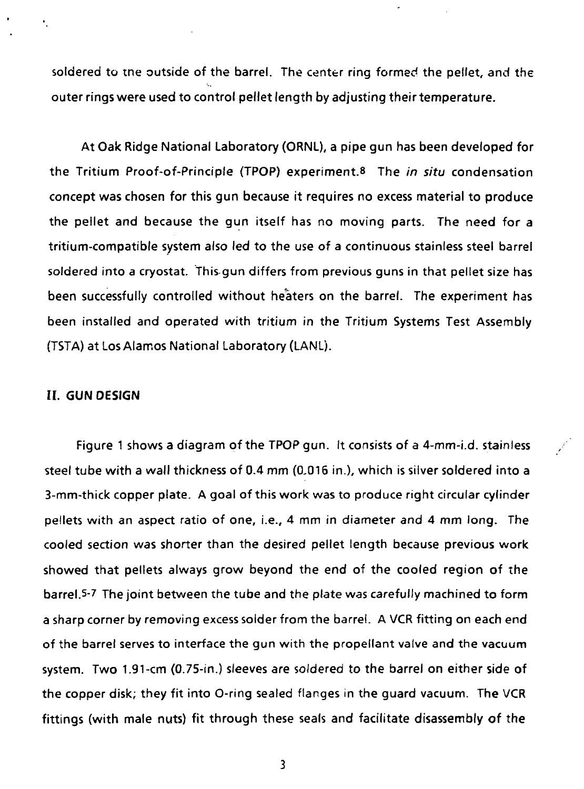soldered to tne outside of the barrel. The center ring formed the pellet, and the outer rings were used to control pellet length by adjusting their temperature.

At Oak Ridge National Laboratory (ORNL), a pipe gun has been developed **for** the Tritium Proof-of-Principle (TPOP) experiment.® The in situ condensation concept was chosen for this gun because it requires no excess material to produce the pellet and because the gun itself has no moving parts. The need for a tritium-compatible system also led to the use of a continuous stainless steel barrel soldered into a cryostat. This gun differs from previous guns in that pellet size has been successfully controlled without heaters on the barrel. The experiment has been installed and operated with tritium in the Tritium Systems Test Assembly (TSTA) at Los Alamos National Laboratory (LANL).

### **II. GUN DESIGN**

Figure 1 shows a diagram of the TPOP gun. It consists of a 4-mm-i.d. stainless steel tube with a wall thickness of 0.4 mm (0,016 in.), which is silver soldered into a 3-mm-thick copper plate. A goal of this work was to produce right circular cylinder pellets with an aspect ratio of one, i.e., 4 mm in diameter and 4 mm long. The cooled section was shorter than the desired pellet length because previous work showed that pellets always grow beyond the end of the cooled region of the barrel.5-7 The joint between the tube and the plate was carefully machined to form a sharp corner by removing excess solder from the barrel. A VCR fitting on each end of the barrel serves to interface the gun with the propellant valve and the vacuum system. Two 1.91-cm (0.75-in.) sleeves are soldered to the barrel on either side of the copper disk; they fit into O-ring sealed flanges in the guard vacuum. The VCR fittings (with male nuts) fit through these seals and facilitate disassembly of the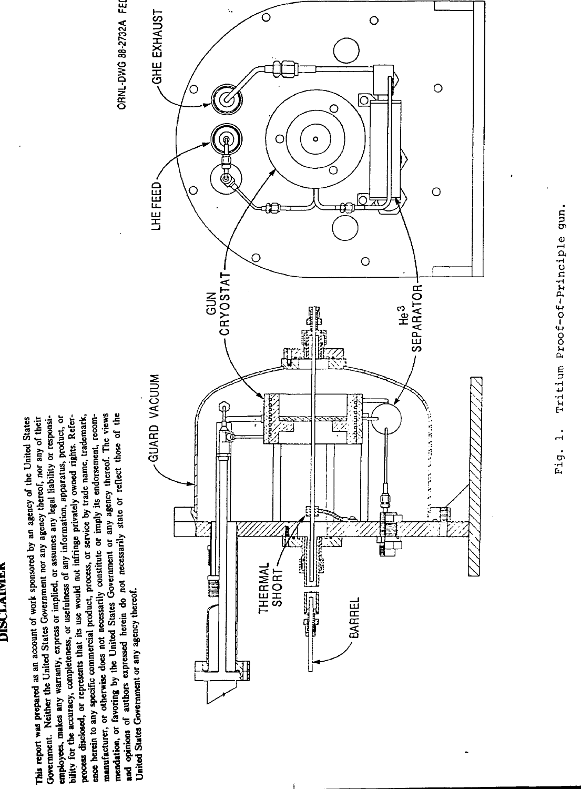# **DISCLAIMEN**

manufacturer, or otherwise does not necessarily constitute or imply its endorsement, recommendation, or favoring by the United States Government or any agency thereof. The views and opinions of authors expressed herein do not necessarily state or reflect those of the process disclosed, or represents that its use would not infringe privately owned rights. Reference herein to any specific commercial product, process, or service by trade name, trademark, Government. Neither the United States Government nor any agency thereof, nor any of their employees, makes any warranty, express or implied, or assumes any legal liability or responsibility for the accuracy, completeness, or usefulness of any information, apparatus, product, or This report was prepared as an account of work sponsored by an agency of the United States United States Government or any agency thereof.



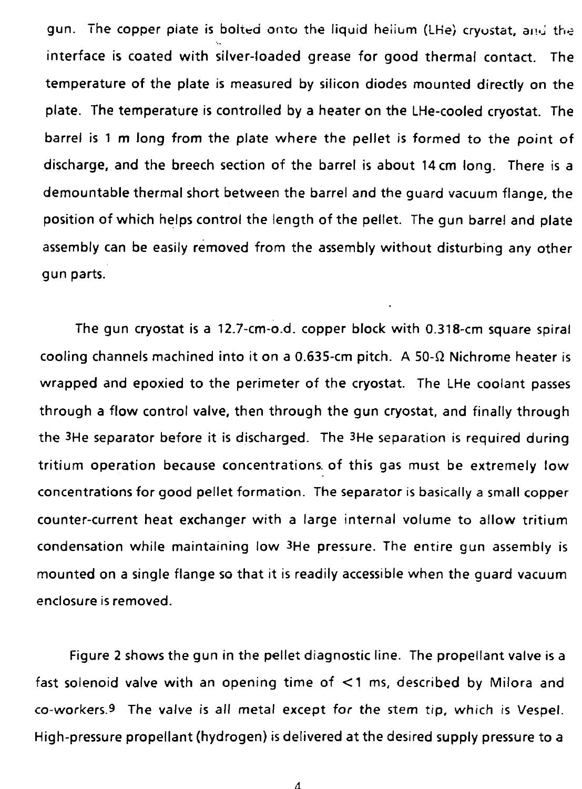gun. The copper piate is bolted onto the liquid heiium (LHe) cryostat, and the interface is coated with silver-loaded grease for good thermal contact. The temperature of the plate is measured by silicon diodes mounted directly on the plate. The temperature is controlled by a heater on the LHe-cooled cryostat. The barrel is 1 m long from the plate where the pellet is formed to the point of discharge, and the breech section of the barrel is about 14 cm long. There is a demountable thermal short between the barrel and the guard vacuum flange, the position of which helps control the length of the pellet. The gun barrel and plate assembly can be easily removed from the assembly without disturbing any other gun parts.

The gun cryostat is a 12.7-cm-o.d. copper block with 0.318-cm square spiral cooling channels machined into it on a 0.635-cm pitch. A 50- $\Omega$  Nichrome heater is wrapped and epoxied to the perimeter of the cryostat. The LHe coolant passes through a flow control valve, then through the gun cryostat, and finally through the 3He separator before it is discharged. The 3He separation is required during tritium operation because concentrations, of this gas must be extremely low concentrations for good pellet formation. The separator is basically a small copper counter-current heat exchanger with a large internal volume to allow tritium condensation while maintaining low 3He pressure. The entire gun assembly is mounted on a single flange so that it is readily accessible when the guard vacuum enclosure is removed.

Figure 2 shows the gun in the pellet diagnostic line. The propellant valve is a fast solenoid valve with an opening time of <1 ms, described by Milora and co-workers.9 The valve is all metal except for the stem tip, which is Vespel. High-pressure propellant (hydrogen) is delivered at the desired supply pressure to a

 $\Lambda$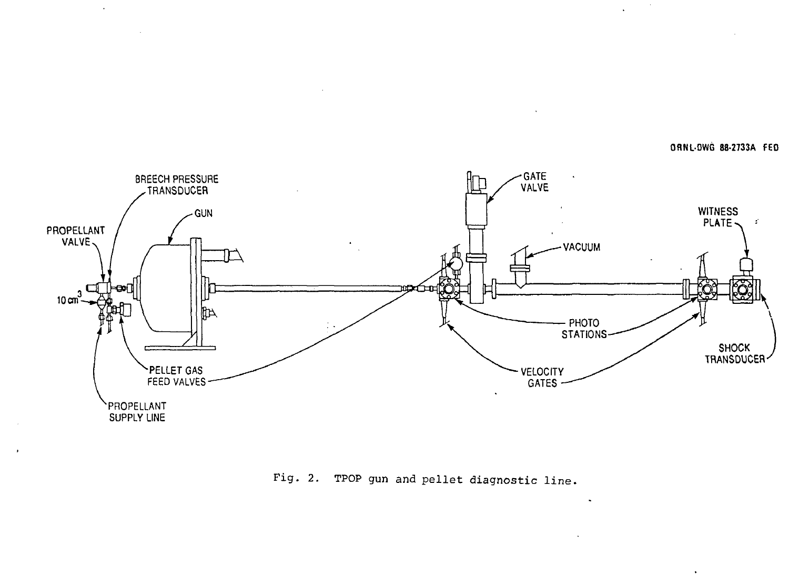**ORNL-DWG 88-2733A FED**



 $\cdot$ 

 $\mathbf{r}$ 

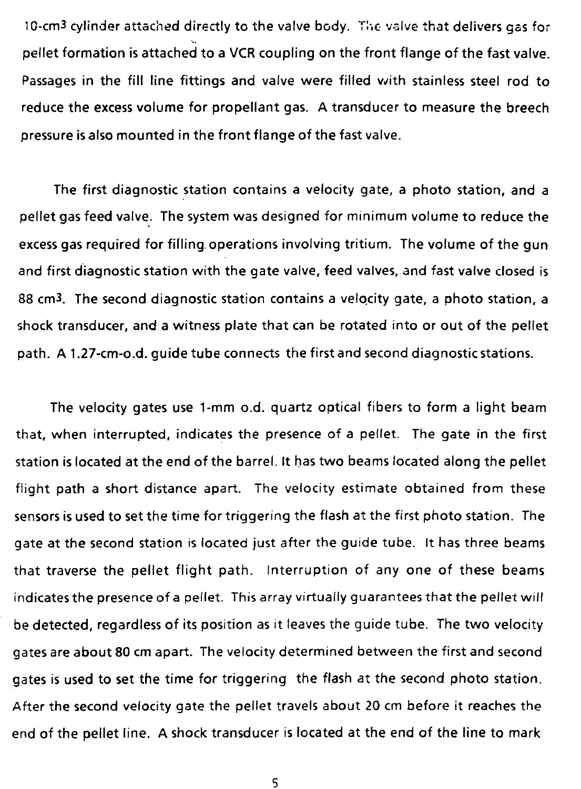1C-cm3 cylinder attached directly to the valve body. The valve that delivers gas for pellet formation is attached to a VCR coupling on the front flange of the fast valve. Passages in the fill line fittings and valve were filled with stainless steel rod to reduce the excess volume for propellant gas. A transducer to measure the breech pressure is also mounted in the front flange of the fast valve.

The first diagnostic station contains a velocity gate, a photo station, and a pellet gas feed valve. The system was designed for minimum volume to reduce the excess gas required for fifling operations involving tritium. The volume of the gun and first diagnostic station with the gate valve, feed valves, and fast valve closed is 88 cm3. The second diagnostic station contains a velocity gate, a photo station, a shock transducer, and a witness plate that can be rotated into or out of the pellet path. A 1.27-cm-o.d. guide tube connects the first and second diagnostic stations.

The velocity gates use 1-mm o.d. quartz optical fibers to form a light beam that, when interrupted, indicates the presence of a pellet. The gate in the first station is located at the end of the barrel. It has two beams located along the pellet flight path a short distance apart. The velocity estimate obtained from these sensors is used to set the time for triggering the flash at the first photo station. The gate at the second station is located just after the guide tube. It has three beams that traverse the pellet flight path. Interruption of any one of these beams indicates the presence of a pellet. This array virtually guarantees that the pellet will be detected, regardless of its position as it leaves the guide tube. The two velocity gates are about 80 cm apart. The velocity determined between the first and second gates is used to set the time for triggering the flash at the second photo station. After the second velocity gate the pellet travels about 20 cm before it reaches the end of the pellet line. A shock transducer is located at the end of the line to mark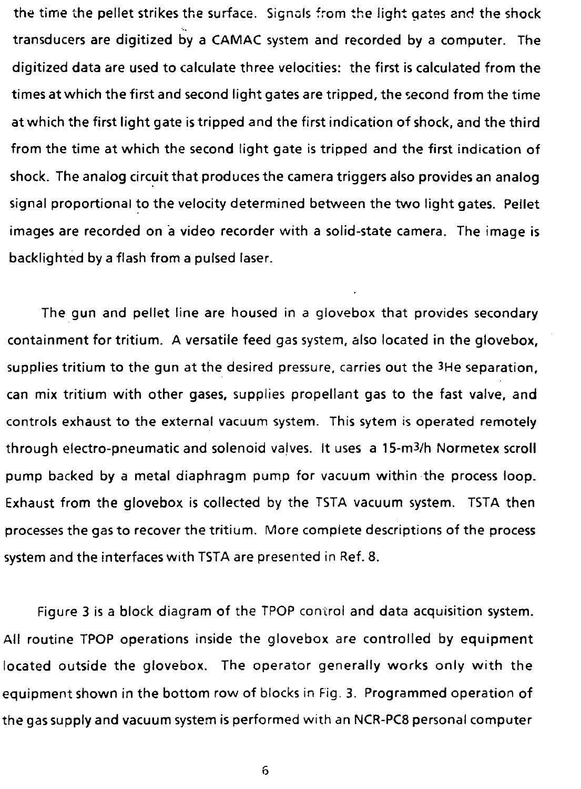the time the pellet strikes the surface. Signals from the light gates and the shock transducers are digitized by a CAMAC system and recorded by a computer. The digitized data are used to calculate three velocities: the first is calculated from the times at which the first and second light gates are tripped, the second from the time atwhich the first light gate is tripped and the first indication of shock, and the third from the time at which the second light gate is tripped and the first indication of shock. The analog circuit that produces the camera triggers also provides an analog signal proportional to the velocity determined between the two light gates. Pellet images are recorded on a video recorder with a solid-state camera. The image is backlighted by a flash from a pulsed laser.

The gun and pellet line are housed in a glovebox that provides secondary containment for tritium. A versatile feed gas system, also located in the glovebox, supplies tritium to the gun at the desired pressure, carries out the 3He separation, can mix tritium with other gases, supplies propellant gas to the fast valve, and controls exhaust to the external vacuum system. This sytem is operated remotely through electro-pneumatic and solenoid valves. It uses a 15-m3/h Normetex scroll pump backed by a metal diaphragm pump for vacuum within the process loop. Exhaust from the glovebox is collected by the TSTA vacuum system. TSTA then processes the gas to recover the tritium. More complete descriptions of the process system and the interfaces with TSTA are presented in Ref. 8.

Figure 3 is a block diagram of the TPOP control and data acquisition system. All routine TPOP operations inside the glovebox are controlled by equipment located outside the glovebox. The operator generally works only with the equipment shown in the bottom row of blocks in Fig. 3. Programmed operation of the gas supply and vacuum system is performed with an NCR-PC8 personal computer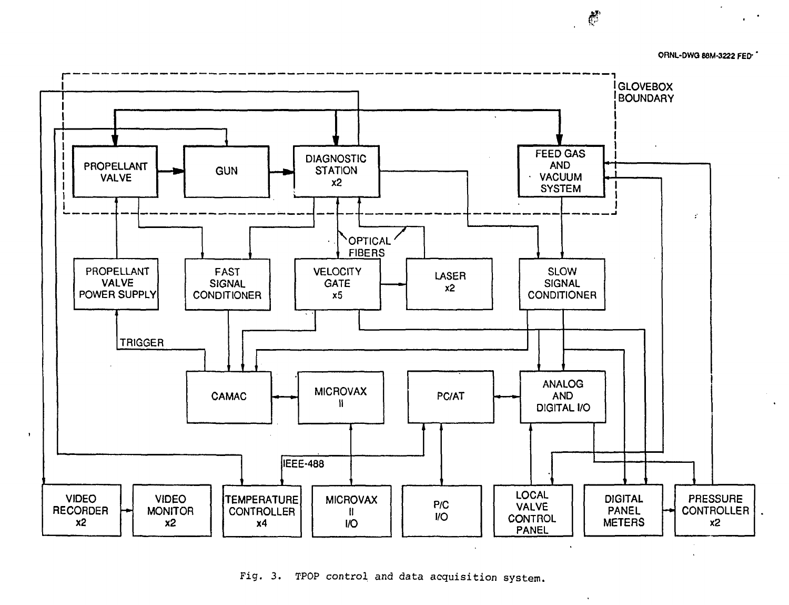

Fig. 3. TPOP control and data acquisition system.

 $\mathbb{C}$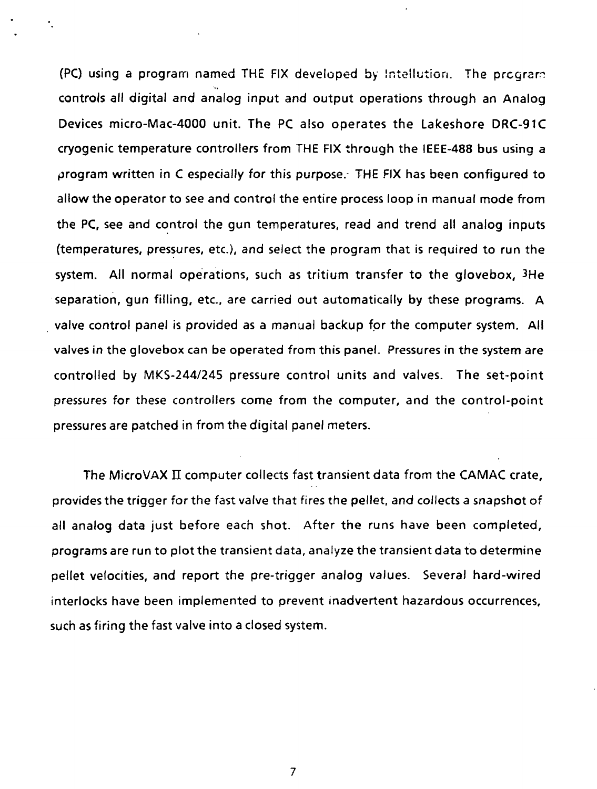(PC) using a program named THE FIX developed by Intellution. The prcgrar: controls all digital and analog input and output operations through an Analog Devices micro-Mac-4000 unit. The PC also operates the Lakeshore DRC-91C cryogenic temperature controllers from THE FIX through the IEEE-488 bus using a program written in C especially for this purpose. THE FIX has been configured to allow the operator to see and control the entire process loop in manual mode from the PC, see and control the gun temperatures, read and trend all analog inputs (temperatures, pressures, etc.), and select the program that is required to run the system. All normal operations, such as tritium transfer to the glovebox, 3He separation, gun filling, etc., are carried out automatically by these programs. A valve control panel is provided as a manual backup for the computer system. All valves in the glovebox can be operated from this panel. Pressures in the system are controlled by MKS-244/245 pressure control units and valves. The set-point pressures for these controllers come from the computer, and the control-point pressures are patched in from the digital panel meters.

The MicroVAX II computer collects fast transient data from the CAMAC crate, provides the trigger for the fast valve that fires the pellet, and collects a snapshot of all analog data just before each shot. After the runs have been completed, programs are run to plot the transient data, analyze the transient data to determine pellet velocities, and report the pre-trigger analog values. Several hard-wired interlocks have been implemented to prevent inadvertent hazardous occurrences, such as firing the fast valve into a closed system.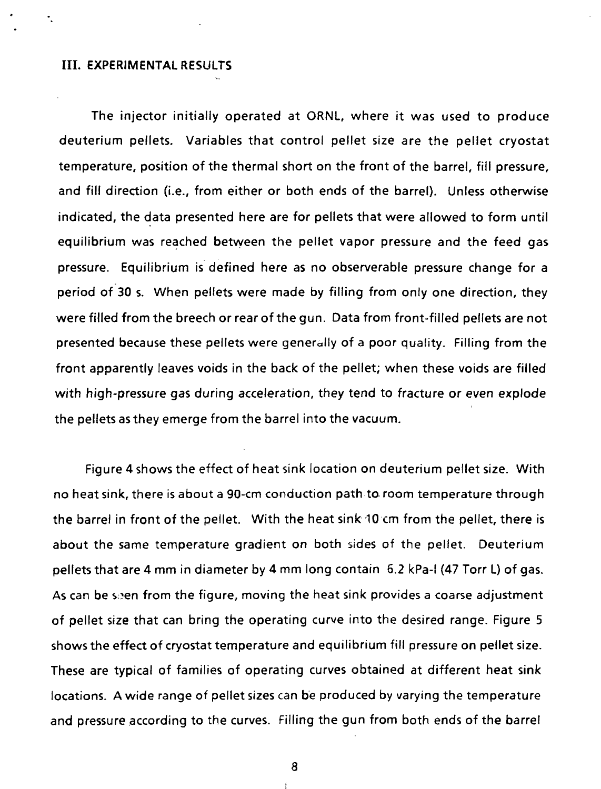### III. EXPERIMENTAL RESULTS

The injector initially operated at ORNL, where it was used to produce deuterium pellets. Variables that control pellet size are the pellet cryostat temperature, position of the thermal short on the front of the barrel, fill pressure, and fill direction (i.e., from either or both ends of the barrel). Unless otherwise indicated, the data presented here are for pellets that were allowed to form until equilibrium was reached between the pellet vapor pressure and the feed gas pressure. Equilibrium is defined here as no observerable pressure change for a period of 30 s. When pellets were made by filling from only one direction, they were filled from the breech or rear of the gun. Data from front-filled pellets are not presented because these pellets were generally of a poor quality. Filling from the front apparently leaves voids in the back of the pellet; when these voids are filled with high-pressure gas during acceleration, they tend to fracture or even explode the pellets as they emerge from the barrel into the vacuum.

Figure 4 shows the effect of heat sink location on deuterium pellet size. With no heat sink, there is about a 90-cm conduction path ta room temperature through the barrel in front of the pellet. With the heat sink10 cm from the pellet, there is about the same temperature gradient on both sides of the pellet. Deuterium pellets that are 4 mm in diameter by 4 mm long contain 6.2 kPa-l (47 Torr L) of gas. As can be seen from the figure, moving the heat sink provides a coarse adjustment of pellet size that can bring the operating curve into the desired range. Figure 5 shows the effect of cryostat temperature and equilibrium fill pressure on pellet size. These are typical of families of operating curves obtained at different heat sink locations. A wide range of pellet sizes can be produced by varying the temperature and pressure according to the curves. Filling the gun from both ends of the barrel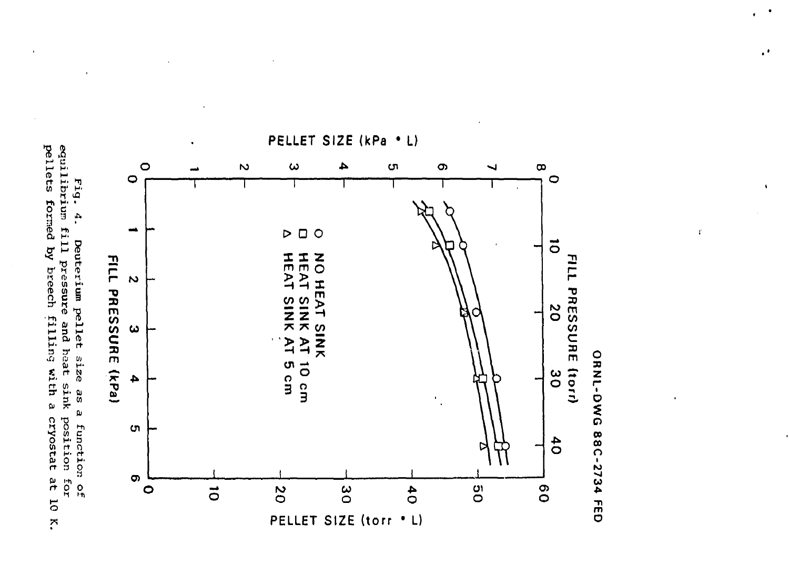pellets formed by breech filling with a cryostat at 10 K. equilibrium fill pressure and heat sink position Fig. 4. Deuterium pellet size as a function of ror



 $\cdot$ 

 $\ddot{\phantom{a}}$ 

 $\mathbf{f}^{\prime}$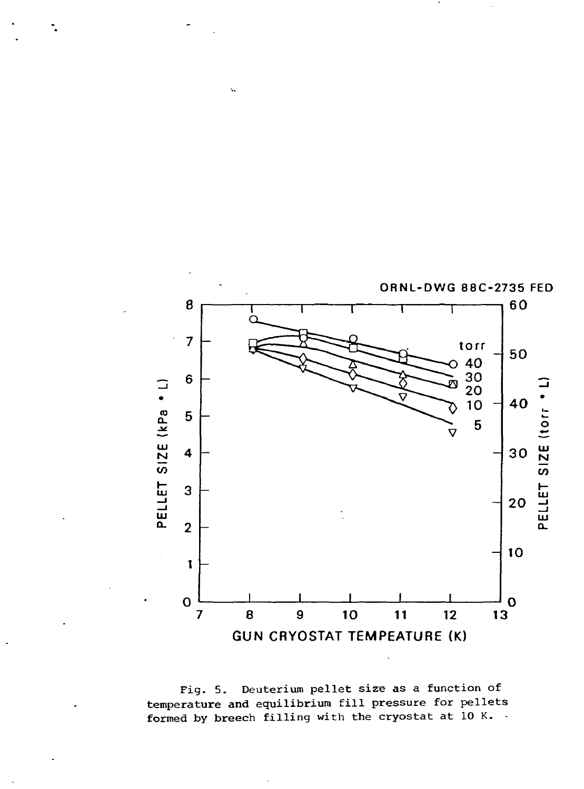

Fig. 5. Deuterium pellet size as a function of temperature and equilibrium fill pressure for pellets formed by breech filling with the cryostat at 10 K. .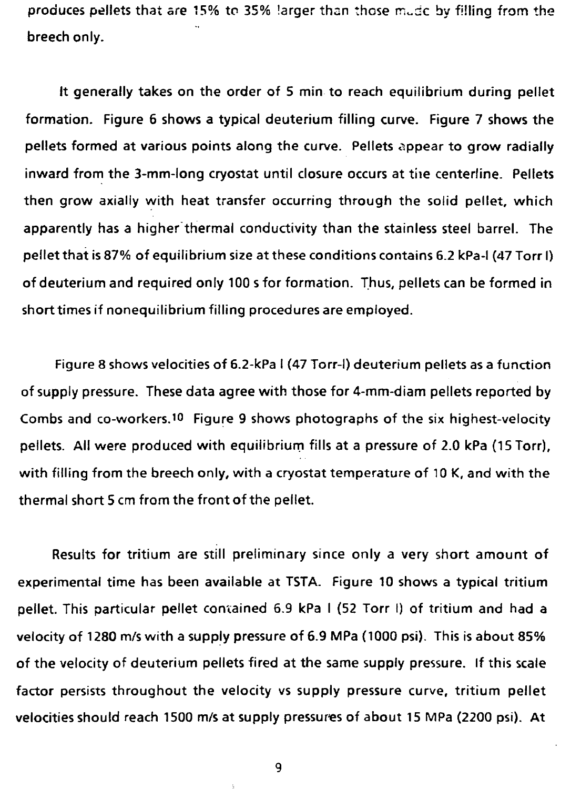produces pellets that are 15% to 35% larger than those mude by filling from the breech only.

It generally takes on the order of 5 min to reach equilibrium during pellet formation. Figure 6 shows a typical deuterium filling curve. Figure 7 shows the pellets formed at various points along the curve. Pellets appear to grow radially inward from the 3-mm-long cryostat until closure occurs at tiie centerline. Pellets then grow axially with heat transfer occurring through the solid pellet, which apparently has a higher thermal conductivity than the stainless steel barrel. The pellet that is 87% of equilibrium size at these conditions contains 6.2 kPa-l (47 Torr I) of deuterium and required only 100 s for formation. Thus, pellets can be formed in short times if nonequilibrium filling procedures are employed.

Figure 8 shows velocities of 6.2-kPa I (47 Torr-I) deuterium pellets as a function of supply pressure. These data agree with those for 4-mm-diam pellets reported by Combs and co-workers.<sup>10</sup> Figure 9 shows photographs of the six highest-velocity pellets. All were produced with equilibrium fills at a pressure of 2.0 kPa (15 Torr), with filling from the breech only, with a cryostat temperature of 10 K, and with the thermal short 5 cm from the front of the pellet.

Results for tritium are still preliminary since only a very short amount of experimental time has been available at TSTA. Figure 10 shows a typical tritium pellet. This particular pellet contained 6.9 kPa I (52 Torr I) of tritium and had a velocity of 1280 m/s with a supply pressure of 6.9 MPa (1000 psi). This is about 85% of the velocity of deuterium pellets fired at the same supply pressure. If this scale factor persists throughout the velocity vs supply pressure curve, tritium pellet velocities should reach 1500 m/s at supply pressures of about 15 MPa (2200 psi). At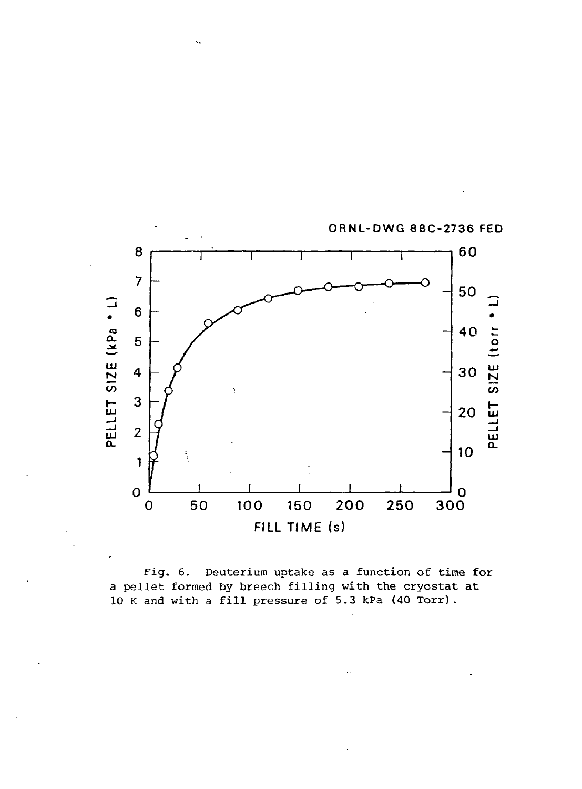

 $\ddotsc$ 

Fig. 6. Deuterium uptake as a function of time for a pellet formed by breech filling with the cryostat at 10 K and with a fill pressure of 5.3 kPa (40 Torr).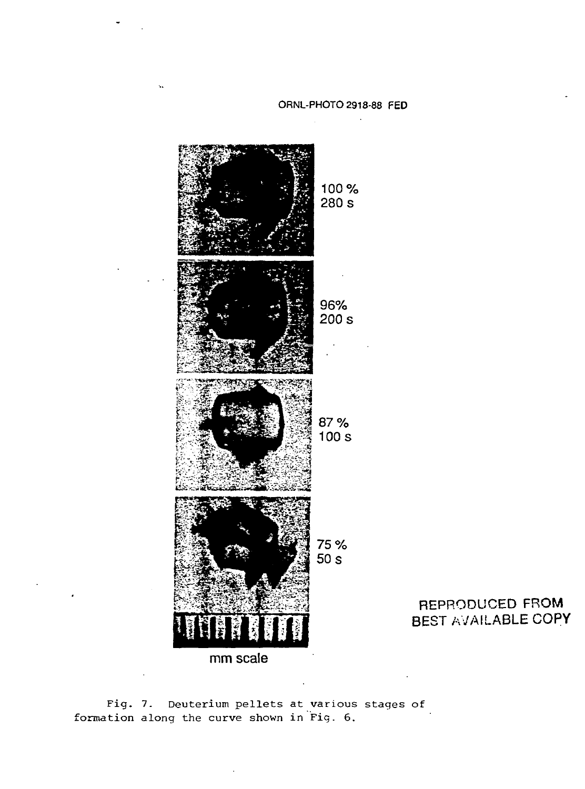

REPRODUCED FROM BEST AVAILABLE COPY

Fig. 7. Deuterium pellets at various stages of formation along the curve shown in Fig. 6.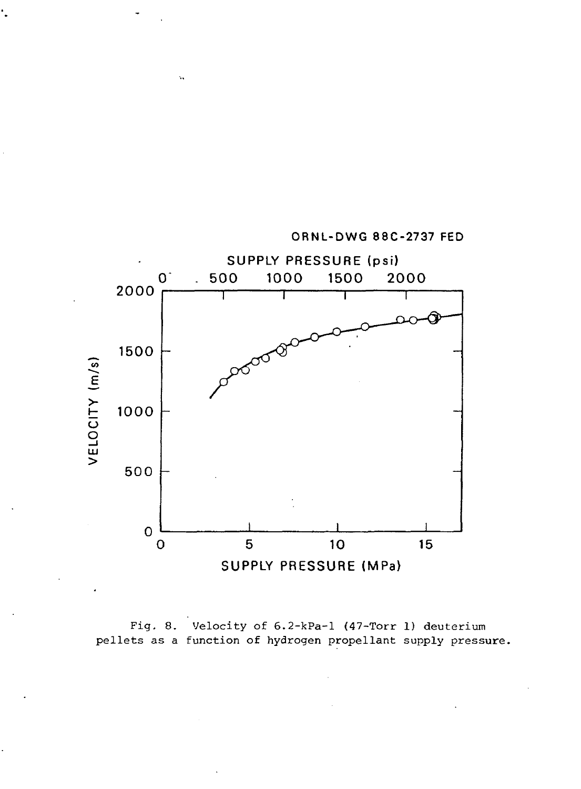

ORNL-DWG 88C-2737 FED

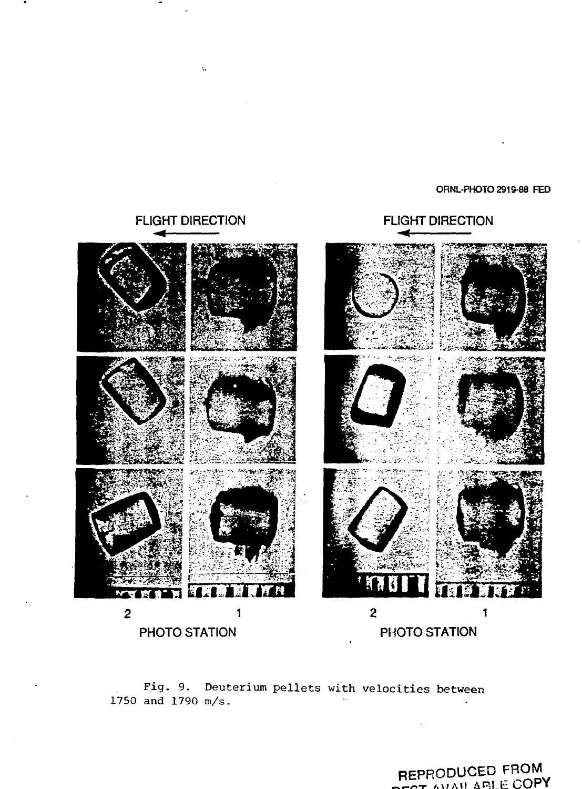### ORNL-PHOTO 2919-88 FED

# **FLIGHT DIRECTION**



**FLIGHT DIRECTION** 

Fig. 9. Deuterium pellets with velocities between 1750 and 1790 m/s.

REPRODUCED FROM OT AVAILARLE COPY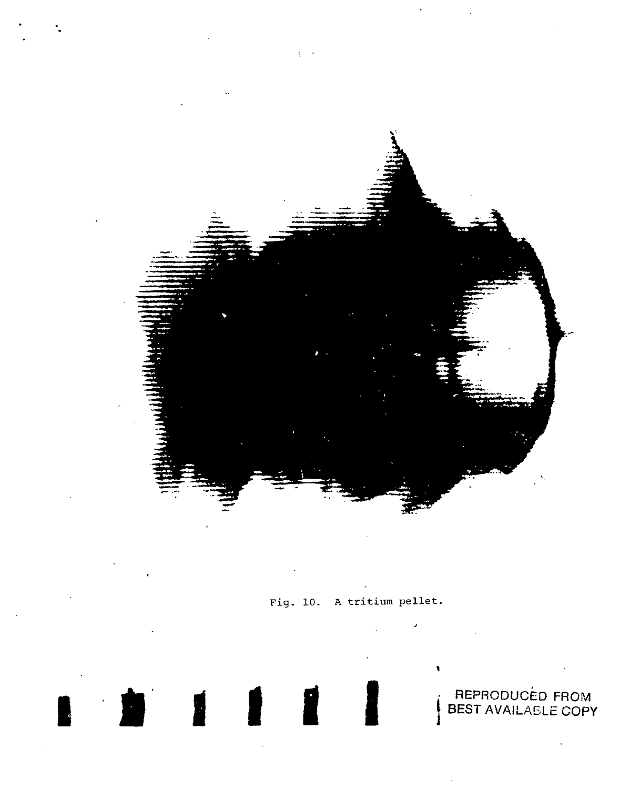

Fig. 10. A tritium pellet.

REPRODUCÉD FROM<br>BEST AVAILABLE COPY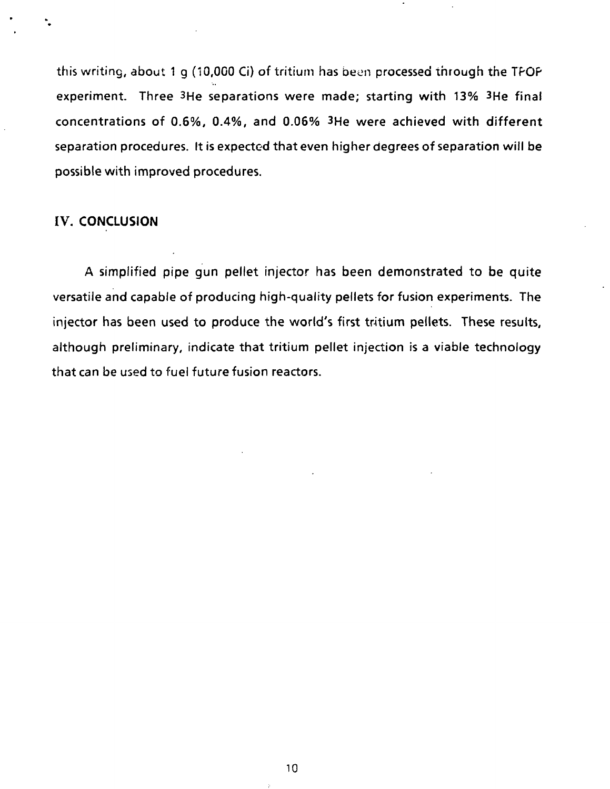this writing, about 1 g (10,000 Ci) of tritium has been processed through the TPOP experiment. Three 3He separations were made; starting with 13% 3He final concentrations of 0.6%, 0.4%, and 0.06% 3He were achieved with different separation procedures. It is expected that even higher degrees of separation will be possible with improved procedures.

## IV. CONCLUSION

A simplified pipe gun pellet injector has been demonstrated to be quite versatile and capable of producing high-quality pellets for fusion experiments. The injector has been used to produce the world's first tritium pellets. These results, although preliminary, indicate that tritium pellet injection is a viable technology that can be used to fuel future fusion reactors.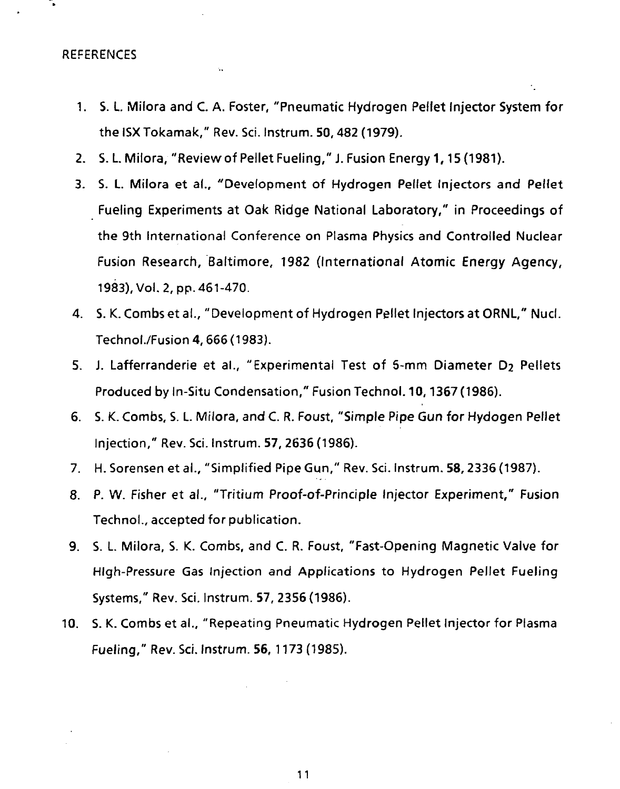REFERENCES

- 1. S. L. Milora and C. A. Foster, "Pneumatic Hydrogen Pellet Injector System for the ISXTokamak," Rev. Sci. Instrum. 50,482 (1979).
- 2. S. L. Milora, "Review of Pellet Fueling," J. Fusion Energy 1, 15 (1981).
- 3. S. L. Milora et a!., "Development of Hydrogen Pellet Injectors and Pellet Fueling Experiments at Oak Ridge National Laboratory," in Proceedings of the 9th International Conference on Plasma Physics and Controlled Nuclear Fusion Research, Baltimore, 1982 (International Atomic Energy Agency, 1983), Vol. 2, pp. 461-470.
- 4. S. K. Combs et al., "Development of Hydrogen Pellet Injectors at ORNL," Nucl. Technol./Fusion 4,666 (1983).
- 5. J. Lafferranderie et al., "Experimental Test of 5-mm Diameter D<sub>2</sub> Pellets Produced by In-Situ Condensation," Fusion Technol. 10,1367 (1986).
- 6. S. K. Combs, S. L. Milora, and C. R. Foust, "Simple Pipe Gun for Hydogen Pellet Injection," Rev. Sci. Instrum. 57, 2636 (1986).
- 7. H. Sorensen et al., "Simplified Pipe Gun," Rev. Sci. Instrum. 58,2336 (1987).
- 8. P. W. Fisher et al., "Tritium Proof-of-Principle Injector Experiment," Fusion Technol., accepted for publication.
- 9. S. L Milora, S. K. Combs, and C. R. Foust, "Fast-Opening Magnetic Valve for High-Pressure Gas Injection and Applications to Hydrogen Pellet Fueling Systems," Rev. Sci. Instrum. 57, 2356 (1986).
- 10. S. K. Combs et al., "Repeating Pneumatic Hydrogen Pellet Injector for Plasma Fueling," Rev. Sci. Instrum. 56, 1173 (1985).